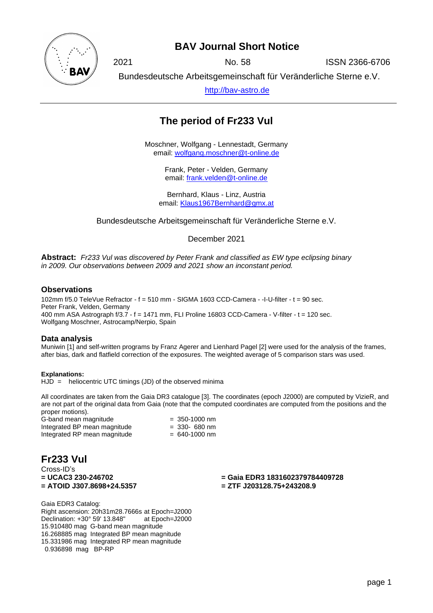

## **BAV Journal Short Notice**

2021 No. 58 ISSN 2366-6706

Bundesdeutsche Arbeitsgemeinschaft für Veränderliche Sterne e.V.

[http://bav-astro.de](http://bav-astro.de/)

# **The period of Fr233 Vul**

Moschner, Wolfgang - Lennestadt, Germany email: [wolfgang.moschner@t-online.de](mailto:wolfgang.moschner@t-online.de)

> Frank, Peter - Velden, Germany email: [frank.velden@t-online.de](mailto:frank.velden@t-online.de)

Bernhard, Klaus - Linz, Austria email: [Klaus1967Bernhard@gmx.at](mailto:Klaus1967Bernhard@gmx.at)

Bundesdeutsche Arbeitsgemeinschaft für Veränderliche Sterne e.V.

December 2021

**Abstract:** *Fr233 Vul was discovered by Peter Frank and classified as EW type eclipsing binary in 2009. Our observations between 2009 and 2021 show an inconstant period.*

### **Observations**

102mm f/5.0 TeleVue Refractor - f = 510 mm - SIGMA 1603 CCD-Camera - -I-U-filter - t = 90 sec. Peter Frank, Velden, Germany 400 mm ASA Astrograph f/3.7 - f = 1471 mm, FLI Proline 16803 CCD-Camera - V-filter - t = 120 sec. Wolfgang Moschner, Astrocamp/Nerpio, Spain

#### **Data analysis**

Muniwin [1] and self-written programs by Franz Agerer and Lienhard Pagel [2] were used for the analysis of the frames, after bias, dark and flatfield correction of the exposures. The weighted average of 5 comparison stars was used.

**Explanations:**  HJD = heliocentric UTC timings (JD) of the observed minima

All coordinates are taken from the Gaia DR3 catalogue [3]. The coordinates (epoch J2000) are computed by VizieR, and are not part of the original data from Gaia (note that the computed coordinates are computed from the positions and the proper motions).

G-band mean magnitude  $= 350-1000$  nm<br>Integrated BP mean magnitude  $= 330-680$  nm Integrated BP mean magnitude  $= 330 - 680$  nm<br>Integrated RP mean magnitude  $= 640-1000$  nm Integrated RP mean magnitude

**Fr233 Vul** Cross-ID's **= UCAC3 230-246702 = Gaia EDR3 1831602379784409728 = ATOID J307.8698+24.5357 = ZTF J203128.75+243208.9**

Gaia EDR3 Catalog: Right ascension: 20h31m28.7666s at Epoch=J2000 Declination: +30° 59' 13.848" at Epoch=J2000 15.910480 mag G-band mean magnitude 16.268885 mag Integrated BP mean magnitude 15.331986 mag Integrated RP mean magnitude 0.936898 mag BP-RP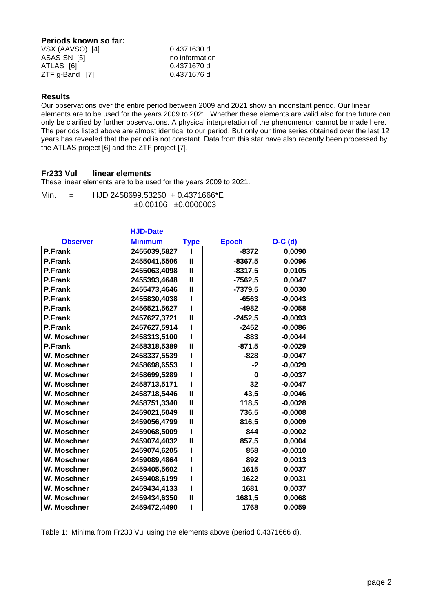## **Periods known so far:**

| VSX (AAVSO) [4]  | 0.4371630 d    |  |  |
|------------------|----------------|--|--|
| ASAS-SN [5]      | no information |  |  |
| ATLAS [6]        | 0.4371670 d    |  |  |
| $ZTF$ g-Band [7] | 0.4371676 d    |  |  |

#### **Results**

Our observations over the entire period between 2009 and 2021 show an inconstant period. Our linear elements are to be used for the years 2009 to 2021. Whether these elements are valid also for the future can only be clarified by further observations. A physical interpretation of the phenomenon cannot be made here. The periods listed above are almost identical to our period. But only our time series obtained over the last 12 years has revealed that the period is not constant. Data from this star have also recently been processed by the ATLAS project [6] and the ZTF project [7].

#### **Fr233 Vul linear elements**

These linear elements are to be used for the years 2009 to 2021.

Min. = HJD 2458699.53250 + 0.4371666\*E ±0.00106 ±0.0000003

|                 | <b>HJD-Date</b> |              |              |           |
|-----------------|-----------------|--------------|--------------|-----------|
| <b>Observer</b> | <b>Minimum</b>  | Type         | <b>Epoch</b> | $O-C$ (d) |
| <b>P.Frank</b>  | 2455039,5827    |              | $-8372$      | 0,0090    |
| <b>P.Frank</b>  | 2455041,5506    | $\mathbf{I}$ | $-8367,5$    | 0,0096    |
| <b>P.Frank</b>  | 2455063,4098    | $\mathbf{I}$ | $-8317,5$    | 0,0105    |
| <b>P.Frank</b>  | 2455393,4648    | $\mathbf{I}$ | $-7562,5$    | 0,0047    |
| <b>P.Frank</b>  | 2455473,4646    | $\mathbf{I}$ | $-7379,5$    | 0,0030    |
| <b>P.Frank</b>  | 2455830,4038    | ı            | $-6563$      | $-0,0043$ |
| <b>P.Frank</b>  | 2456521,5627    |              | -4982        | $-0,0058$ |
| <b>P.Frank</b>  | 2457627,3721    | $\mathbf{I}$ | $-2452,5$    | $-0,0093$ |
| <b>P.Frank</b>  | 2457627,5914    |              | $-2452$      | $-0,0086$ |
| W. Moschner     | 2458313,5100    | ı            | $-883$       | $-0,0044$ |
| <b>P.Frank</b>  | 2458318,5389    | $\mathbf{I}$ | $-871,5$     | $-0,0029$ |
| W. Moschner     | 2458337,5539    |              | $-828$       | $-0,0047$ |
| W. Moschner     | 2458698,6553    |              | $-2$         | $-0,0029$ |
| W. Moschner     | 2458699,5289    |              | 0            | $-0,0037$ |
| W. Moschner     | 2458713,5171    |              | 32           | $-0,0047$ |
| W. Moschner     | 2458718,5446    | Ш            | 43,5         | $-0,0046$ |
| W. Moschner     | 2458751,3340    | $\mathbf{I}$ | 118,5        | $-0,0028$ |
| W. Moschner     | 2459021,5049    | $\mathbf{I}$ | 736,5        | $-0,0008$ |
| W. Moschner     | 2459056,4799    | $\mathbf{I}$ | 816,5        | 0,0009    |
| W. Moschner     | 2459068,5009    | ı            | 844          | $-0,0002$ |
| W. Moschner     | 2459074,4032    | $\mathbf{I}$ | 857,5        | 0,0004    |
| W. Moschner     | 2459074,6205    | ı            | 858          | $-0,0010$ |
| W. Moschner     | 2459089,4864    |              | 892          | 0,0013    |
| W. Moschner     | 2459405,5602    |              | 1615         | 0,0037    |
| W. Moschner     | 2459408,6199    |              | 1622         | 0,0031    |
| W. Moschner     | 2459434,4133    |              | 1681         | 0,0037    |
| W. Moschner     | 2459434,6350    | Ш            | 1681,5       | 0,0068    |
| W. Moschner     | 2459472,4490    |              | 1768         | 0,0059    |

Table 1: Minima from Fr233 Vul using the elements above (period 0.4371666 d).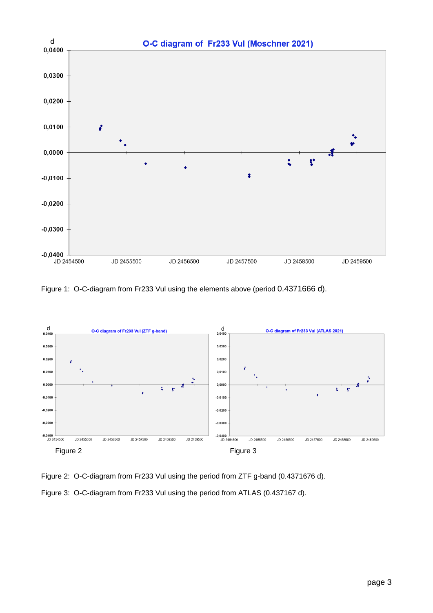

Figure 1: O-C-diagram from Fr233 Vul using the elements above (period 0.4371666 d).



Figure 2: O-C-diagram from Fr233 Vul using the period from ZTF g-band (0.4371676 d). Figure 3: O-C-diagram from Fr233 Vul using the period from ATLAS (0.437167 d).